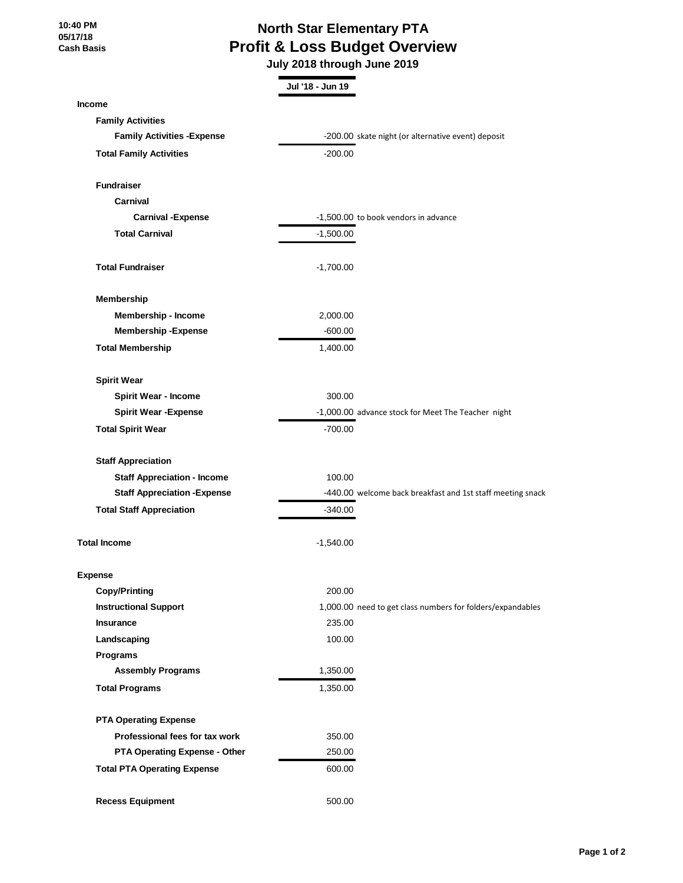**10:40 PM 05/17/18 Cash Basis**

## **North Star Elementary PTA Profit & Loss Budget Overview**

 **July 2018 through June 2019**

|                                     | Jul '18 - Jun 19 |                                                            |
|-------------------------------------|------------------|------------------------------------------------------------|
| <b>Income</b>                       |                  |                                                            |
| <b>Family Activities</b>            |                  |                                                            |
| <b>Family Activities - Expense</b>  |                  | -200.00 skate night (or alternative event) deposit         |
| <b>Total Family Activities</b>      | $-200.00$        |                                                            |
| <b>Fundraiser</b>                   |                  |                                                            |
| Carnival                            |                  |                                                            |
| <b>Carnival - Expense</b>           |                  | -1,500.00 to book vendors in advance                       |
| <b>Total Carnival</b>               | $-1,500.00$      |                                                            |
| <b>Total Fundraiser</b>             | $-1,700.00$      |                                                            |
| <b>Membership</b>                   |                  |                                                            |
| Membership - Income                 | 2,000.00         |                                                            |
| <b>Membership-Expense</b>           | $-600.00$        |                                                            |
| <b>Total Membership</b>             | 1,400.00         |                                                            |
| <b>Spirit Wear</b>                  |                  |                                                            |
| <b>Spirit Wear - Income</b>         | 300.00           |                                                            |
| <b>Spirit Wear - Expense</b>        |                  | -1,000.00 advance stock for Meet The Teacher night         |
| <b>Total Spirit Wear</b>            | $-700.00$        |                                                            |
| <b>Staff Appreciation</b>           |                  |                                                            |
| <b>Staff Appreciation - Income</b>  | 100.00           |                                                            |
| <b>Staff Appreciation - Expense</b> |                  | -440.00 welcome back breakfast and 1st staff meeting snack |
| <b>Total Staff Appreciation</b>     | $-340.00$        |                                                            |
| <b>Total Income</b>                 | $-1,540.00$      |                                                            |
| Expense                             |                  |                                                            |
| <b>Copy/Printing</b>                | 200.00           |                                                            |
| <b>Instructional Support</b>        |                  | 1,000.00 need to get class numbers for folders/expandables |
| <b>Insurance</b>                    | 235.00           |                                                            |
| Landscaping                         | 100.00           |                                                            |
| <b>Programs</b>                     |                  |                                                            |
| <b>Assembly Programs</b>            | 1,350.00         |                                                            |
| <b>Total Programs</b>               | 1,350.00         |                                                            |
| <b>PTA Operating Expense</b>        |                  |                                                            |
| Professional fees for tax work      | 350.00           |                                                            |
| PTA Operating Expense - Other       | 250.00           |                                                            |
| <b>Total PTA Operating Expense</b>  | 600.00           |                                                            |
| <b>Recess Equipment</b>             | 500.00           |                                                            |